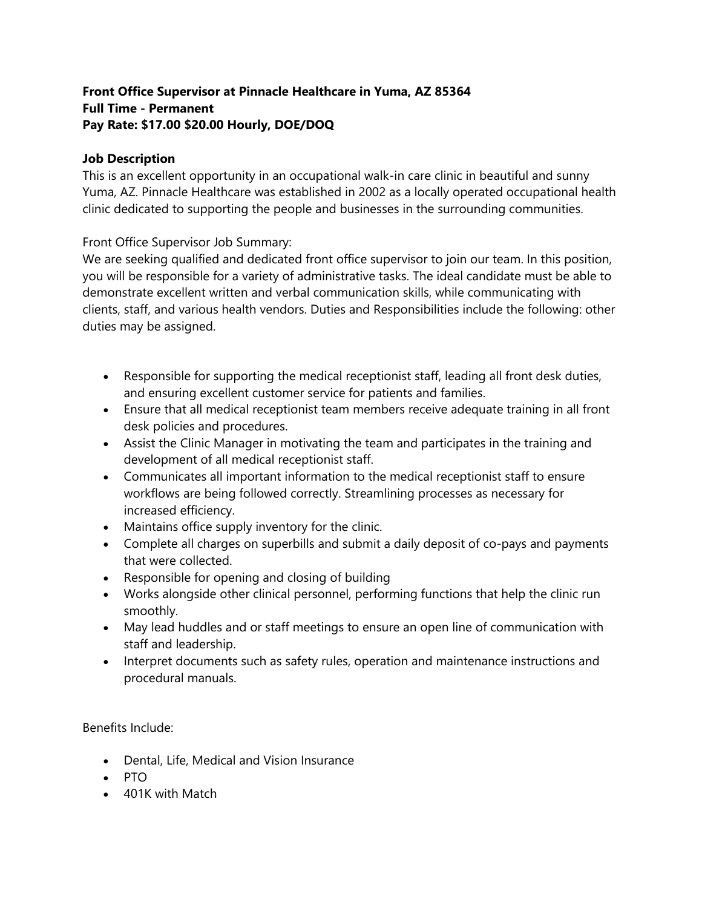## **Front Office Supervisor at Pinnacle Healthcare in Yuma, AZ 85364 Full Time - Permanent Pay Rate: \$17.00 \$20.00 Hourly, DOE/DOQ**

## **Job Description**

This is an excellent opportunity in an occupational walk-in care clinic in beautiful and sunny Yuma, AZ. Pinnacle Healthcare was established in 2002 as a locally operated occupational health clinic dedicated to supporting the people and businesses in the surrounding communities.

Front Office Supervisor Job Summary:

We are seeking qualified and dedicated front office supervisor to join our team. In this position, you will be responsible for a variety of administrative tasks. The ideal candidate must be able to demonstrate excellent written and verbal communication skills, while communicating with clients, staff, and various health vendors. Duties and Responsibilities include the following: other duties may be assigned.

- Responsible for supporting the medical receptionist staff, leading all front desk duties, and ensuring excellent customer service for patients and families.
- Ensure that all medical receptionist team members receive adequate training in all front desk policies and procedures.
- Assist the Clinic Manager in motivating the team and participates in the training and development of all medical receptionist staff.
- Communicates all important information to the medical receptionist staff to ensure workflows are being followed correctly. Streamlining processes as necessary for increased efficiency.
- Maintains office supply inventory for the clinic.
- Complete all charges on superbills and submit a daily deposit of co-pays and payments that were collected.
- Responsible for opening and closing of building
- Works alongside other clinical personnel, performing functions that help the clinic run smoothly.
- May lead huddles and or staff meetings to ensure an open line of communication with staff and leadership.
- Interpret documents such as safety rules, operation and maintenance instructions and procedural manuals.

Benefits Include:

- Dental, Life, Medical and Vision Insurance
- PTO
- 401K with Match